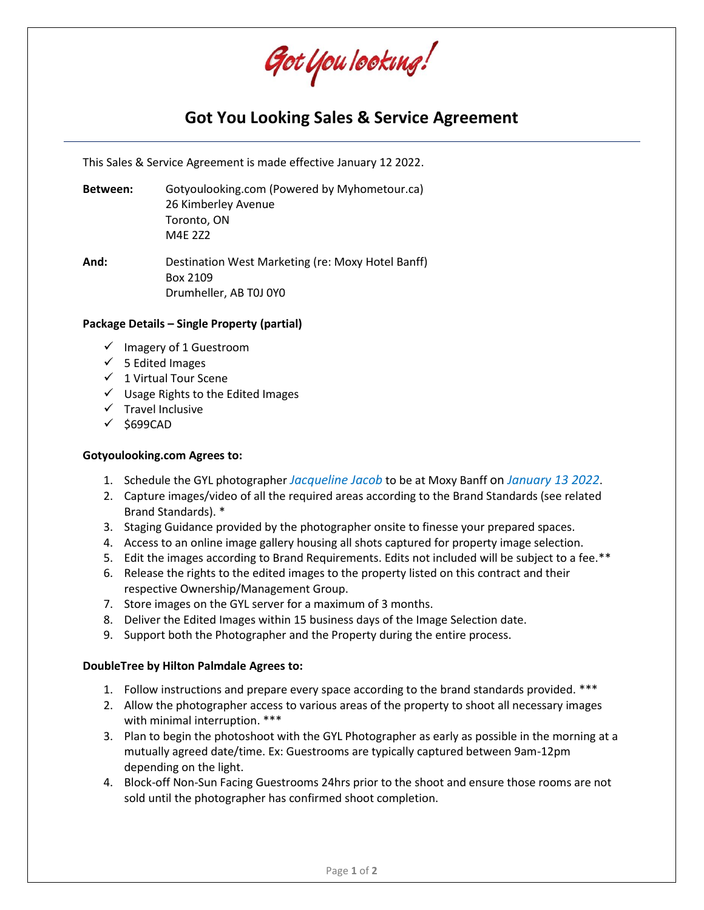Got You Iooking!

# **Got You Looking Sales & Service Agreement**

This Sales & Service Agreement is made effective January 12 2022.

**Between:** Gotyoulooking.com (Powered by Myhometour.ca) 26 Kimberley Avenue Toronto, ON M4E 2Z2

**And:** Destination West Marketing (re: Moxy Hotel Banff) Box 2109 Drumheller, AB T0J 0Y0

## **Package Details – Single Property (partial)**

- ✓ Imagery of 1 Guestroom
- $\checkmark$  5 Edited Images
- ✓ 1 Virtual Tour Scene
- ✓ Usage Rights to the Edited Images
- $\checkmark$  Travel Inclusive
- ✓ \$699CAD

### **Gotyoulooking.com Agrees to:**

- 1. Schedule the GYL photographer *Jacqueline Jacob* to be at Moxy Banff on *January 13 2022*.
- 2. Capture images/video of all the required areas according to the Brand Standards (see related Brand Standards). \*
- 3. Staging Guidance provided by the photographer onsite to finesse your prepared spaces.
- 4. Access to an online image gallery housing all shots captured for property image selection.
- 5. Edit the images according to Brand Requirements. Edits not included will be subject to a fee.\*\*
- 6. Release the rights to the edited images to the property listed on this contract and their respective Ownership/Management Group.
- 7. Store images on the GYL server for a maximum of 3 months.
- 8. Deliver the Edited Images within 15 business days of the Image Selection date.
- 9. Support both the Photographer and the Property during the entire process.

### **DoubleTree by Hilton Palmdale Agrees to:**

- 1. Follow instructions and prepare every space according to the brand standards provided. \*\*\*
- 2. Allow the photographer access to various areas of the property to shoot all necessary images with minimal interruption. \*\*\*
- 3. Plan to begin the photoshoot with the GYL Photographer as early as possible in the morning at a mutually agreed date/time. Ex: Guestrooms are typically captured between 9am-12pm depending on the light.
- 4. Block-off Non-Sun Facing Guestrooms 24hrs prior to the shoot and ensure those rooms are not sold until the photographer has confirmed shoot completion.